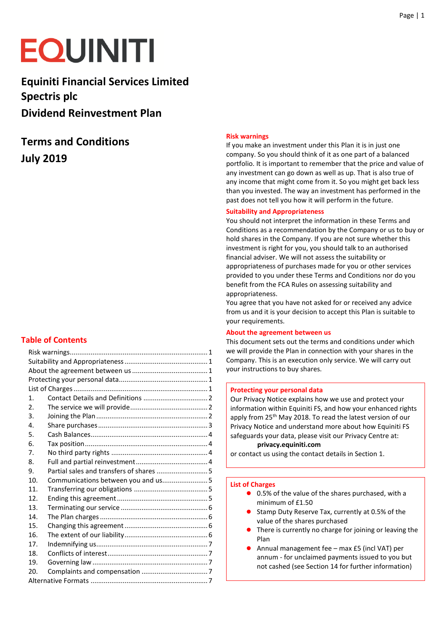# **EQUINITI**

**Equiniti Financial Services Limited Spectris plc Dividend Reinvestment Plan** 

# **Terms and Conditions July 2019**

# <span id="page-0-5"></span>**Table of Contents**

| $\mathbf 1$ .    |                                          |  |
|------------------|------------------------------------------|--|
| $\overline{2}$ . |                                          |  |
| 3.               |                                          |  |
| 4.               |                                          |  |
| 5.               |                                          |  |
| 6.               |                                          |  |
| 7.               |                                          |  |
| 8.               |                                          |  |
| 9.               | Partial sales and transfers of shares  5 |  |
| $10^{-1}$        |                                          |  |
| 11.              |                                          |  |
| 12 <sub>1</sub>  |                                          |  |
| 13.              |                                          |  |
| 14.              |                                          |  |
| 15.              |                                          |  |
| 16.              |                                          |  |
| 17               |                                          |  |
| 18.              |                                          |  |
| 19.              |                                          |  |
| 20.              |                                          |  |
|                  |                                          |  |

#### <span id="page-0-0"></span>**Risk warnings**

If you make an investment under this Plan it is in just one company. So you should think of it as one part of a balanced portfolio. It is important to remember that the price and value of any investment can go down as well as up. That is also true of any income that might come from it. So you might get back less than you invested. The way an investment has performed in the past does not tell you how it will perform in the future.

#### <span id="page-0-1"></span>**Suitability and Appropriateness**

You should not interpret the information in these Terms and Conditions as a recommendation by the Company or us to buy or hold shares in the Company. If you are not sure whether this investment is right for you, you should talk to an authorised financial adviser. We will not assess the suitability or appropriateness of purchases made for you or other services provided to you under these Terms and Conditions nor do you benefit from the FCA Rules on assessing suitability and appropriateness.

You agree that you have not asked for or received any advice from us and it is your decision to accept this Plan is suitable to your requirements.

#### <span id="page-0-2"></span>**About the agreement between us**

This document sets out the terms and conditions under which we will provide the Plan in connection with your shares in the Company. This is an execution only service. We will carry out your instructions to buy shares.

#### <span id="page-0-3"></span>**Protecting your personal data**

Our Privacy Notice explains how we use and protect your information within Equiniti FS, and how your enhanced rights apply from 25<sup>th</sup> May 2018. To read the latest version of our Privacy Notice and understand more about how Equiniti FS safeguards your data, please visit our Privacy Centre at:

# **[privacy.equiniti.com](https://privacy.equiniti.com/)**

or contact us using the contact details in Section 1.

#### <span id="page-0-4"></span>**List of Charges**

- 0.5% of the value of the shares purchased, with a minimum of  $f1.50$
- Stamp Duty Reserve Tax, currently at 0.5% of the value of the shares purchased
- There is currently no charge for joining or leaving the Plan
- Annual management fee max £5 (incl VAT) per annum - for unclaimed payments issued to you but not cashed (see Section 14 for further information)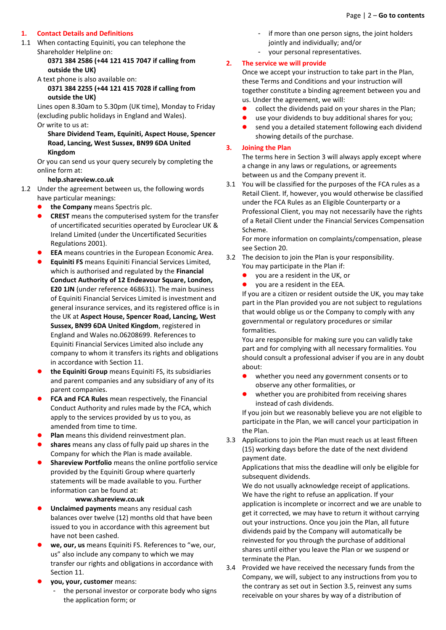## <span id="page-1-0"></span>**1. Contact Details and Definitions**

1.1 When contacting Equiniti, you can telephone the Shareholder Helpline on:

## **0371 384 2586 (+44 121 415 7047 if calling from outside the UK)**

#### A text phone is also available on:

**0371 384 2255 (+44 121 415 7028 if calling from outside the UK)**

Lines open 8.30am to 5.30pm (UK time), Monday to Friday (excluding public holidays in England and Wales). Or write to us at:

#### **Share Dividend Team, Equiniti, Aspect House, Spencer Road, Lancing, West Sussex, BN99 6DA United Kingdom**

Or you can send us your query securely by completing the online form at:

#### **help.shareview.co.uk**

- 1.2 Under the agreement between us, the following words have particular meanings:
	- **the Company** means Spectris plc.
	- **CREST** means the computerised system for the transfer of uncertificated securities operated by Euroclear UK & Ireland Limited (under the Uncertificated Securities Regulations 2001).
	- **EEA** means countries in the European Economic Area.
	- **Equiniti FS** means Equiniti Financial Services Limited, which is authorised and regulated by the **Financial Conduct Authority of 12 Endeavour Square, London, E20 1JN** (under reference 468631). The main business of Equiniti Financial Services Limited is investment and general insurance services, and its registered office is in the UK at **Aspect House, Spencer Road, Lancing, West Sussex, BN99 6DA United Kingdom**, registered in England and Wales no.06208699. References to Equiniti Financial Services Limited also include any company to whom it transfers its rights and obligations in accordance with Section 11.
	- **the Equiniti Group** means Equiniti FS, its subsidiaries and parent companies and any subsidiary of any of its parent companies.
	- **FCA and FCA Rules** mean respectively, the Financial Conduct Authority and rules made by the FCA, which apply to the services provided by us to you, as amended from time to time.
	- **Plan** means this dividend reinvestment plan.
	- **shares** means any class of fully paid up shares in the Company for which the Plan is made available.
	- **Shareview Portfolio** means the online portfolio service provided by the Equiniti Group where quarterly statements will be made available to you. Further information can be found at:

#### **www.shareview.co.uk**

- **Unclaimed payments** means any residual cash balances over twelve (12) months old that have been issued to you in accordance with this agreement but have not been cashed.
- **we, our, us** means Equiniti FS. References to "we, our, us" also include any company to which we may transfer our rights and obligations in accordance with Section 11.
- **you, your, customer** means:
	- the personal investor or corporate body who signs the application form; or
- if more than one person signs, the joint holders
	- jointly and individually; and/or
- your personal representatives.

#### <span id="page-1-1"></span>**2. The service we will provide**

Once we accept your instruction to take part in the Plan, these Terms and Conditions and your instruction will together constitute a binding agreement between you and us. Under the agreement, we will:

- collect the dividends paid on your shares in the Plan;
- use your dividends to buy additional shares for you;
- send you a detailed statement following each dividend showing details of the purchase.

#### <span id="page-1-2"></span>**3. Joining the Plan**

The terms here in Section 3 will always apply except where a change in any laws or regulations, or agreements between us and the Company prevent it.

3.1 You will be classified for the purposes of the FCA rules as a Retail Client. If, however, you would otherwise be classified under the FCA Rules as an Eligible Counterparty or a Professional Client, you may not necessarily have the rights of a Retail Client under the Financial Services Compensation Scheme.

For more information on complaints/compensation, please see Section 20.

- 3.2 The decision to join the Plan is your responsibility. You may participate in the Plan if:
	- you are a resident in the UK, or
	- you are a resident in the EEA.

If you are a citizen or resident outside the UK, you may take part in the Plan provided you are not subject to regulations that would oblige us or the Company to comply with any governmental or regulatory procedures or similar formalities.

You are responsible for making sure you can validly take part and for complying with all necessary formalities. You should consult a professional adviser if you are in any doubt about:

- whether you need any government consents or to observe any other formalities, or
- whether you are prohibited from receiving shares instead of cash dividends.

If you join but we reasonably believe you are not eligible to participate in the Plan, we will cancel your participation in the Plan.

3.3 Applications to join the Plan must reach us at least fifteen (15) working days before the date of the next dividend payment date.

Applications that miss the deadline will only be eligible for subsequent dividends.

We do not usually acknowledge receipt of applications. We have the right to refuse an application. If your application is incomplete or incorrect and we are unable to get it corrected, we may have to return it without carrying out your instructions. Once you join the Plan, all future dividends paid by the Company will automatically be reinvested for you through the purchase of additional shares until either you leave the Plan or we suspend or terminate the Plan.

3.4 Provided we have received the necessary funds from the Company, we will, subject to any instructions from you to the contrary as set out in Section 3.5, reinvest any sums receivable on your shares by way of a distribution of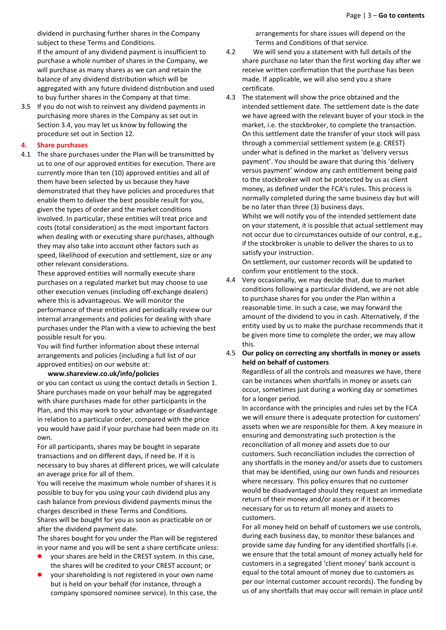dividend in purchasing further shares in the Company subject to these Terms and Conditions.

If the amount of any dividend payment is insufficient to purchase a whole number of shares in the Company, we will purchase as many shares as we can and retain the balance of any dividend distribution which will be aggregated with any future dividend distribution and used to buy further shares in the Company at that time.

3.5 If you do not wish to reinvest any dividend payments in purchasing more shares in the Company as set out in Section 3.4, you may let us know by following the procedure set out in Section 12.

#### <span id="page-2-0"></span>**4. Share purchases**

4.1 The share purchases under the Plan will be transmitted by us to one of our approved entities for execution. There are currently more than ten (10) approved entities and all of them have been selected by us because they have demonstrated that they have policies and procedures that enable them to deliver the best possible result for you, given the types of order and the market conditions involved. In particular, these entities will treat price and costs (total consideration) as the most important factors when dealing with or executing share purchases, although they may also take into account other factors such as speed, likelihood of execution and settlement, size or any other relevant considerations.

These approved entities will normally execute share purchases on a regulated market but may choose to use other execution venues (including off-exchange dealers) where this is advantageous. We will monitor the performance of these entities and periodically review our internal arrangements and policies for dealing with share purchases under the Plan with a view to achieving the best possible result for you.

You will find further information about these internal arrangements and policies (including a full list of our approved entities) on our website at:

#### **www.shareview.co.uk/info/policies**

or you can contact us using the contact details in Section 1. Share purchases made on your behalf may be aggregated with share purchases made for other participants in the Plan, and this may work to your advantage or disadvantage in relation to a particular order, compared with the price you would have paid if your purchase had been made on its own.

For all participants, shares may be bought in separate transactions and on different days, if need be. If it is necessary to buy shares at different prices, we will calculate an average price for all of them.

You will receive the maximum whole number of shares it is possible to buy for you using your cash dividend plus any cash balance from previous dividend payments minus the charges described in these Terms and Conditions. Shares will be bought for you as soon as practicable on or after the dividend payment date.

The shares bought for you under the Plan will be registered in your name and you will be sent a share certificate unless:

- your shares are held in the CREST system. In this case, the shares will be credited to your CREST account; or
- your shareholding is not registered in your own name but is held on your behalf (for instance, through a company sponsored nominee service). In this case, the

arrangements for share issues will depend on the Terms and Conditions of that service.

- 4.2 We will send you a statement with full details of the share purchase no later than the first working day after we receive written confirmation that the purchase has been made. If applicable, we will also send you a share certificate.
- 4.3 The statement will show the price obtained and the intended settlement date. The settlement date is the date we have agreed with the relevant buyer of your stock in the market, i.e. the stockbroker, to complete the transaction. On this settlement date the transfer of your stock will pass through a commercial settlement system (e.g. CREST) under what is defined in the market as 'delivery versus payment'. You should be aware that during this 'delivery versus payment' window any cash entitlement being paid to the stockbroker will not be protected by us as client money, as defined under the FCA's rules. This process is normally completed during the same business day but will be no later than three (3) business days.

Whilst we will notify you of the intended settlement date on your statement, it is possible that actual settlement may not occur due to circumstances outside of our control, e.g., if the stockbroker is unable to deliver the shares to us to satisfy your instruction.

On settlement, our customer records will be updated to confirm your entitlement to the stock.

- 4.4 Very occasionally, we may decide that, due to market conditions following a particular dividend, we are not able to purchase shares for you under the Plan within a reasonable time. In such a case, we may forward the amount of the dividend to you in cash. Alternatively, if the entity used by us to make the purchase recommends that it be given more time to complete the order, we may allow this.
- 4.5 **Our policy on correcting any shortfalls in money or assets held on behalf of customers**

Regardless of all the controls and measures we have, there can be instances when shortfalls in money or assets can occur, sometimes just during a working day or sometimes for a longer period.

In accordance with the principles and rules set by the FCA we will ensure there is adequate protection for customers' assets when we are responsible for them. A key measure in ensuring and demonstrating such protection is the reconciliation of all money and assets due to our customers. Such reconciliation includes the correction of any shortfalls in the money and/or assets due to customers that may be identified, using our own funds and resources where necessary. This policy ensures that no customer would be disadvantaged should they request an immediate return of their money and/or assets or if it becomes necessary for us to return all money and assets to customers.

For all money held on behalf of customers we use controls, during each business day, to monitor these balances and provide same day funding for any identified shortfalls (i.e. we ensure that the total amount of money actually held for customers in a segregated 'client money' bank account is equal to the total amount of money due to customers as per our internal customer account records). The funding by us of any shortfalls that may occur will remain in place until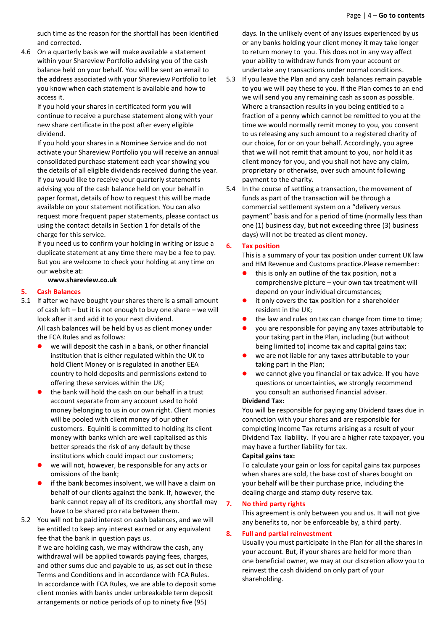such time as the reason for the shortfall has been identified and corrected.

4.6 On a quarterly basis we will make available a statement within your Shareview Portfolio advising you of the cash balance held on your behalf. You will be sent an email to the address associated with your Shareview Portfolio to let you know when each statement is available and how to access it.

If you hold your shares in certificated form you will continue to receive a purchase statement along with your new share certificate in the post after every eligible dividend.

If you hold your shares in a Nominee Service and do not activate your Shareview Portfolio you will receive an annual consolidated purchase statement each year showing you the details of all eligible dividends received during the year. If you would like to receive your quarterly statements advising you of the cash balance held on your behalf in paper format, details of how to request this will be made available on your statement notification. You can also request more frequent paper statements, please contact us using the contact details in Section 1 for details of the charge for this service.

If you need us to confirm your holding in writing or issue a duplicate statement at any time there may be a fee to pay. But you are welcome to check your holding at any time on our website at:

#### **www.shareview.co.uk**

#### <span id="page-3-0"></span>**5. Cash Balances**

- 5.1 If after we have bought your shares there is a small amount of cash left – but it is not enough to buy one share – we will look after it and add it to your next dividend. All cash balances will be held by us as client money under the FCA Rules and as follows:
	- we will deposit the cash in a bank, or other financial institution that is either regulated within the UK to hold Client Money or is regulated in another EEA country to hold deposits and permissions extend to offering these services within the UK;
	- the bank will hold the cash on our behalf in a trust account separate from any account used to hold money belonging to us in our own right. Client monies will be pooled with client money of our other customers. Equiniti is committed to holding its client money with banks which are well capitalised as this better spreads the risk of any default by these institutions which could impact our customers;
	- we will not, however, be responsible for any acts or omissions of the bank;
	- if the bank becomes insolvent, we will have a claim on behalf of our clients against the bank. If, however, the bank cannot repay all of its creditors, any shortfall may have to be shared pro rata between them.
- 5.2 You will not be paid interest on cash balances, and we will be entitled to keep any interest earned or any equivalent fee that the bank in question pays us.

If we are holding cash, we may withdraw the cash, any withdrawal will be applied towards paying fees, charges, and other sums due and payable to us, as set out in these Terms and Conditions and in accordance with FCA Rules. In accordance with FCA Rules, we are able to deposit some client monies with banks under unbreakable term deposit arrangements or notice periods of up to ninety five (95)

days. In the unlikely event of any issues experienced by us or any banks holding your client money it may take longer to return money to you. This does not in any way affect your ability to withdraw funds from your account or undertake any transactions under normal conditions.

- 5.3 If you leave the Plan and any cash balances remain payable to you we will pay these to you. If the Plan comes to an end we will send you any remaining cash as soon as possible. Where a transaction results in you being entitled to a fraction of a penny which cannot be remitted to you at the time we would normally remit money to you, you consent to us releasing any such amount to a registered charity of our choice, for or on your behalf. Accordingly, you agree that we will not remit that amount to you, nor hold it as client money for you, and you shall not have any claim, proprietary or otherwise, over such amount following payment to the charity.
- 5.4 In the course of settling a transaction, the movement of funds as part of the transaction will be through a commercial settlement system on a "delivery versus payment" basis and for a period of time (normally less than one (1) business day, but not exceeding three (3) business days) will not be treated as client money.

#### <span id="page-3-1"></span>**6. Tax position**

This is a summary of your tax position under current UK law and HM Revenue and Customs practice.Please remember:

- this is only an outline of the tax position, not a comprehensive picture – your own tax treatment will depend on your individual circumstances;
- it only covers the tax position for a shareholder resident in the UK;
- the law and rules on tax can change from time to time;
- you are responsible for paying any taxes attributable to your taking part in the Plan, including (but without being limited to) income tax and capital gains tax;
- we are not liable for any taxes attributable to your taking part in the Plan;
- we cannot give you financial or tax advice. If you have questions or uncertainties, we strongly recommend you consult an authorised financial adviser.

#### **Dividend Tax:**

You will be responsible for paying any Dividend taxes due in connection with your shares and are responsible for completing Income Tax returns arising as a result of your Dividend Tax liability. If you are a higher rate taxpayer, you may have a further liability for tax.

#### **Capital gains tax:**

To calculate your gain or loss for capital gains tax purposes when shares are sold, the base cost of shares bought on your behalf will be their purchase price, including the dealing charge and stamp duty reserve tax.

#### <span id="page-3-2"></span>**7. No third party rights**

This agreement is only between you and us. It will not give any benefits to, nor be enforceable by, a third party.

#### <span id="page-3-3"></span>**8. Full and partial reinvestment**

Usually you must participate in the Plan for all the shares in your account. But, if your shares are held for more than one beneficial owner, we may at our discretion allow you to reinvest the cash dividend on only part of your shareholding.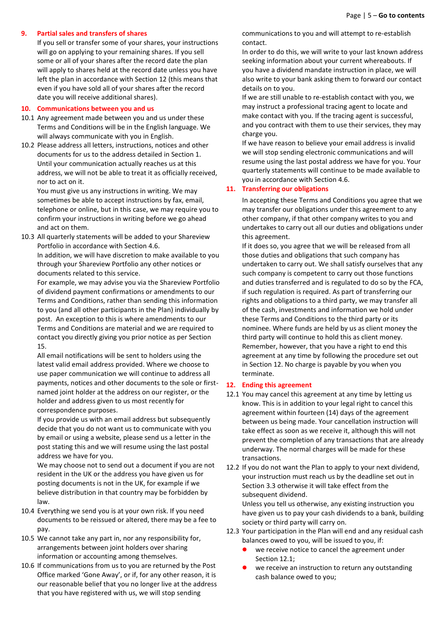#### <span id="page-4-0"></span>**9. Partial sales and transfers of shares**

If you sell or transfer some of your shares, your instructions will go on applying to your remaining shares. If you sell some or all of your shares after the record date the plan will apply to shares held at the record date unless you have left the plan in accordance with Section 12 (this means that even if you have sold all of your shares after the record date you will receive additional shares).

#### <span id="page-4-1"></span>**10. Communications between you and us**

- 10.1 Any agreement made between you and us under these Terms and Conditions will be in the English language. We will always communicate with you in English.
- 10.2 Please address all letters, instructions, notices and other documents for us to the address detailed in Section 1. Until your communication actually reaches us at this address, we will not be able to treat it as officially received, nor to act on it.

You must give us any instructions in writing. We may sometimes be able to accept instructions by fax, email, telephone or online, but in this case, we may require you to confirm your instructions in writing before we go ahead and act on them.

10.3 All quarterly statements will be added to your Shareview Portfolio in accordance with Section 4.6. In addition, we will have discretion to make available to you through your Shareview Portfolio any other notices or documents related to this service.

For example, we may advise you via the Shareview Portfolio of dividend payment confirmations or amendments to our Terms and Conditions, rather than sending this information to you (and all other participants in the Plan) individually by post. An exception to this is where amendments to our Terms and Conditions are material and we are required to contact you directly giving you prior notice as per Section 15.

All email notifications will be sent to holders using the latest valid email address provided. Where we choose to use paper communication we will continue to address all payments, notices and other documents to the sole or firstnamed joint holder at the address on our register, or the holder and address given to us most recently for correspondence purposes.

If you provide us with an email address but subsequently decide that you do not want us to communicate with you by email or using a website, please send us a letter in the post stating this and we will resume using the last postal address we have for you.

We may choose not to send out a document if you are not resident in the UK or the address you have given us for posting documents is not in the UK, for example if we believe distribution in that country may be forbidden by law.

- 10.4 Everything we send you is at your own risk. If you need documents to be reissued or altered, there may be a fee to pay.
- 10.5 We cannot take any part in, nor any responsibility for, arrangements between joint holders over sharing information or accounting among themselves.
- 10.6 If communications from us to you are returned by the Post Office marked 'Gone Away', or if, for any other reason, it is our reasonable belief that you no longer live at the address that you have registered with us, we will stop sending

communications to you and will attempt to re-establish contact.

In order to do this, we will write to your last known address seeking information about your current whereabouts. If you have a dividend mandate instruction in place, we will also write to your bank asking them to forward our contact details on to you.

If we are still unable to re-establish contact with you, we may instruct a professional tracing agent to locate and make contact with you. If the tracing agent is successful, and you contract with them to use their services, they may charge you.

If we have reason to believe your email address is invalid we will stop sending electronic communications and will resume using the last postal address we have for you. Your quarterly statements will continue to be made available to you in accordance with Section 4.6.

#### <span id="page-4-2"></span>**11. Transferring our obligations**

In accepting these Terms and Conditions you agree that we may transfer our obligations under this agreement to any other company, if that other company writes to you and undertakes to carry out all our duties and obligations under this agreement.

If it does so, you agree that we will be released from all those duties and obligations that such company has undertaken to carry out. We shall satisfy ourselves that any such company is competent to carry out those functions and duties transferred and is regulated to do so by the FCA, if such regulation is required. As part of transferring our rights and obligations to a third party, we may transfer all of the cash, investments and information we hold under these Terms and Conditions to the third party or its nominee. Where funds are held by us as client money the third party will continue to hold this as client money. Remember, however, that you have a right to end this agreement at any time by following the procedure set out in Section 12. No charge is payable by you when you terminate.

#### <span id="page-4-3"></span>**12. Ending this agreement**

- 12.1 You may cancel this agreement at any time by letting us know. This is in addition to your legal right to cancel this agreement within fourteen (14) days of the agreement between us being made. Your cancellation instruction will take effect as soon as we receive it, although this will not prevent the completion of any transactions that are already underway. The normal charges will be made for these transactions.
- 12.2 If you do not want the Plan to apply to your next dividend, your instruction must reach us by the deadline set out in Section 3.3 otherwise it will take effect from the subsequent dividend.

Unless you tell us otherwise, any existing instruction you have given us to pay your cash dividends to a bank, building society or third party will carry on.

- 12.3 Your participation in the Plan will end and any residual cash balances owed to you, will be issued to you, if:
	- we receive notice to cancel the agreement under Section 12.1;
	- we receive an instruction to return any outstanding cash balance owed to you;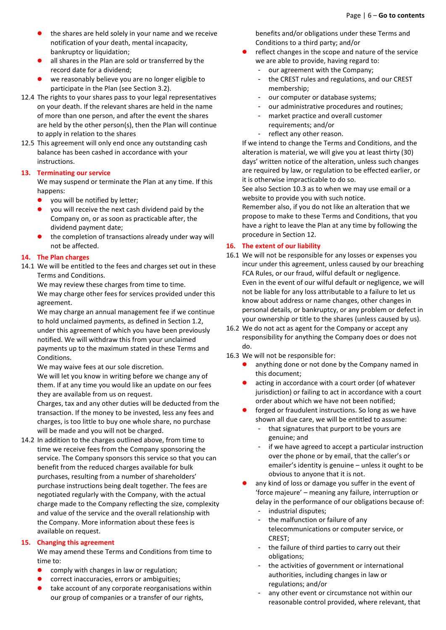- the shares are held solely in your name and we receive notification of your death, mental incapacity, bankruptcy or liquidation;
- all shares in the Plan are sold or transferred by the record date for a dividend;
- we reasonably believe you are no longer eligible to participate in the Plan (see Section 3.2).
- 12.4 The rights to your shares pass to your legal representatives on your death. If the relevant shares are held in the name of more than one person, and after the event the shares are held by the other person(s), then the Plan will continue to apply in relation to the shares
- 12.5 This agreement will only end once any outstanding cash balance has been cashed in accordance with your instructions.

#### <span id="page-5-0"></span>**13. Terminating our service**

We may suspend or terminate the Plan at any time. If this happens:

- you will be notified by letter;
- you will receive the next cash dividend paid by the Company on, or as soon as practicable after, the dividend payment date;
- the completion of transactions already under way will not be affected.

### <span id="page-5-1"></span>**14. The Plan charges**

14.1 We will be entitled to the fees and charges set out in these Terms and Conditions.

We may review these charges from time to time. We may charge other fees for services provided under this agreement.

We may charge an annual management fee if we continue to hold unclaimed payments, as defined in Section 1.2, under this agreement of which you have been previously notified. We will withdraw this from your unclaimed payments up to the maximum stated in these Terms and Conditions.

We may waive fees at our sole discretion.

We will let you know in writing before we change any of them. If at any time you would like an update on our fees they are available from us on request.

Charges, tax and any other duties will be deducted from the transaction. If the money to be invested, less any fees and charges, is too little to buy one whole share, no purchase will be made and you will not be charged.

14.2 In addition to the charges outlined above, from time to time we receive fees from the Company sponsoring the service. The Company sponsors this service so that you can benefit from the reduced charges available for bulk purchases, resulting from a number of shareholders' purchase instructions being dealt together. The fees are negotiated regularly with the Company, with the actual charge made to the Company reflecting the size, complexity and value of the service and the overall relationship with the Company. More information about these fees is available on request.

#### <span id="page-5-2"></span>**15. Changing this agreement**

We may amend these Terms and Conditions from time to time to:

- comply with changes in law or regulation;
- correct inaccuracies, errors or ambiguities;
- take account of any corporate reorganisations within our group of companies or a transfer of our rights,

benefits and/or obligations under these Terms and Conditions to a third party; and/or

- reflect changes in the scope and nature of the service we are able to provide, having regard to:
	- our agreement with the Company;
	- the CREST rules and regulations, and our CREST membership;
	- our computer or database systems;
	- our administrative procedures and routines;
	- market practice and overall customer requirements; and/or
		- reflect any other reason.

If we intend to change the Terms and Conditions, and the alteration is material, we will give you at least thirty (30) days' written notice of the alteration, unless such changes are required by law, or regulation to be effected earlier, or it is otherwise impracticable to do so.

See also Section 10.3 as to when we may use email or a website to provide you with such notice.

Remember also, if you do not like an alteration that we propose to make to these Terms and Conditions, that you have a right to leave the Plan at any time by following the procedure in Section 12.

# <span id="page-5-3"></span>**16. The extent of our liability**

- 16.1 We will not be responsible for any losses or expenses you incur under this agreement, unless caused by our breaching FCA Rules, or our fraud, wilful default or negligence. Even in the event of our wilful default or negligence, we will not be liable for any loss attributable to a failure to let us know about address or name changes, other changes in personal details, or bankruptcy, or any problem or defect in your ownership or title to the shares (unless caused by us).
- 16.2 We do not act as agent for the Company or accept any responsibility for anything the Company does or does not do.
- 16.3 We will not be responsible for:
	- anything done or not done by the Company named in this document;
	- acting in accordance with a court order (of whatever jurisdiction) or failing to act in accordance with a court order about which we have not been notified;
	- forged or fraudulent instructions. So long as we have shown all due care, we will be entitled to assume:
		- that signatures that purport to be yours are genuine; and
		- if we have agreed to accept a particular instruction over the phone or by email, that the caller's or emailer's identity is genuine – unless it ought to be obvious to anyone that it is not.
	- any kind of loss or damage you suffer in the event of 'force majeure' – meaning any failure, interruption or delay in the performance of our obligations because of: industrial disputes;
		- the malfunction or failure of any telecommunications or computer service, or
		- CREST; - the failure of third parties to carry out their
		- obligations;
		- the activities of government or international authorities, including changes in law or regulations; and/or
		- any other event or circumstance not within our reasonable control provided, where relevant, that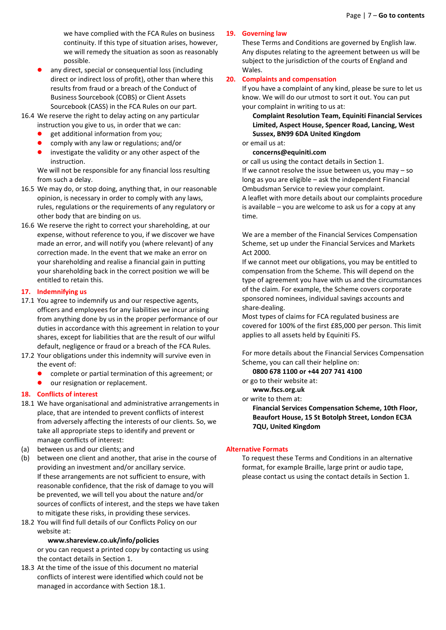we have complied with the FCA Rules on business continuity. If this type of situation arises, however, we will remedy the situation as soon as reasonably possible.

- any direct, special or consequential loss (including direct or indirect loss of profit), other than where this results from fraud or a breach of the Conduct of Business Sourcebook (COBS) or Client Assets Sourcebook (CASS) in the FCA Rules on our part.
- 16.4 We reserve the right to delay acting on any particular instruction you give to us, in order that we can:
	- get additional information from you;
	- comply with any law or regulations; and/or
	- **•** investigate the validity or any other aspect of the instruction.

We will not be responsible for any financial loss resulting from such a delay.

- 16.5 We may do, or stop doing, anything that, in our reasonable opinion, is necessary in order to comply with any laws, rules, regulations or the requirements of any regulatory or other body that are binding on us.
- 16.6 We reserve the right to correct your shareholding, at our expense, without reference to you, if we discover we have made an error, and will notify you (where relevant) of any correction made. In the event that we make an error on your shareholding and realise a financial gain in putting your shareholding back in the correct position we will be entitled to retain this.

#### <span id="page-6-0"></span>**17. Indemnifying us**

- 17.1 You agree to indemnify us and our respective agents, officers and employees for any liabilities we incur arising from anything done by us in the proper performance of our duties in accordance with this agreement in relation to your shares, except for liabilities that are the result of our wilful default, negligence or fraud or a breach of the FCA Rules.
- 17.2 Your obligations under this indemnity will survive even in the event of:
	- complete or partial termination of this agreement; or
	- **o** our resignation or replacement.

#### <span id="page-6-1"></span>**18. Conflicts of interest**

- 18.1 We have organisational and administrative arrangements in place, that are intended to prevent conflicts of interest from adversely affecting the interests of our clients. So, we take all appropriate steps to identify and prevent or manage conflicts of interest:
- (a) between us and our clients; and
- (b) between one client and another, that arise in the course of providing an investment and/or ancillary service. If these arrangements are not sufficient to ensure, with reasonable confidence, that the risk of damage to you will be prevented, we will tell you about the nature and/or sources of conflicts of interest, and the steps we have taken to mitigate these risks, in providing these services.
- 18.2 You will find full details of our Conflicts Policy on our website at:

#### **www.shareview.co.uk/info/policies**

or you can request a printed copy by contacting us using the contact details in Section 1.

18.3 At the time of the issue of this document no material conflicts of interest were identified which could not be managed in accordance with Section 18.1.

#### <span id="page-6-2"></span>**19. Governing law**

These Terms and Conditions are governed by English law. Any disputes relating to the agreement between us will be subject to the jurisdiction of the courts of England and Wales.

#### <span id="page-6-3"></span>**20. Complaints and compensation**

If you have a complaint of any kind, please be sure to let us know. We will do our utmost to sort it out. You can put your complaint in writing to us at:

**Complaint Resolution Team, Equiniti Financial Services Limited, Aspect House, Spencer Road, Lancing, West Sussex, BN99 6DA United Kingdom**

# or email us at:

**concerns@equiniti.com**

or call us using the contact details in Section 1. If we cannot resolve the issue between us, you may – so long as you are eligible – ask the independent Financial Ombudsman Service to review your complaint. A leaflet with more details about our complaints procedure is available – you are welcome to ask us for a copy at any time.

We are a member of the Financial Services Compensation Scheme, set up under the Financial Services and Markets Act 2000.

If we cannot meet our obligations, you may be entitled to compensation from the Scheme. This will depend on the type of agreement you have with us and the circumstances of the claim. For example, the Scheme covers corporate sponsored nominees, individual savings accounts and share-dealing.

Most types of claims for FCA regulated business are covered for 100% of the first £85,000 per person. This limit applies to all assets held by Equiniti FS.

For more details about the Financial Services Compensation Scheme, you can call their helpline on:

**0800 678 1100 or +44 207 741 4100**

or go to their website at:

**www.fscs.org.uk** 

or write to them at:

**Financial Services Compensation Scheme, 10th Floor, Beaufort House, 15 St Botolph Street, London EC3A 7QU, United Kingdom**

#### <span id="page-6-4"></span>**Alternative Formats**

To request these Terms and Conditions in an alternative format, for example Braille, large print or audio tape, please contact us using the contact details in Section 1.